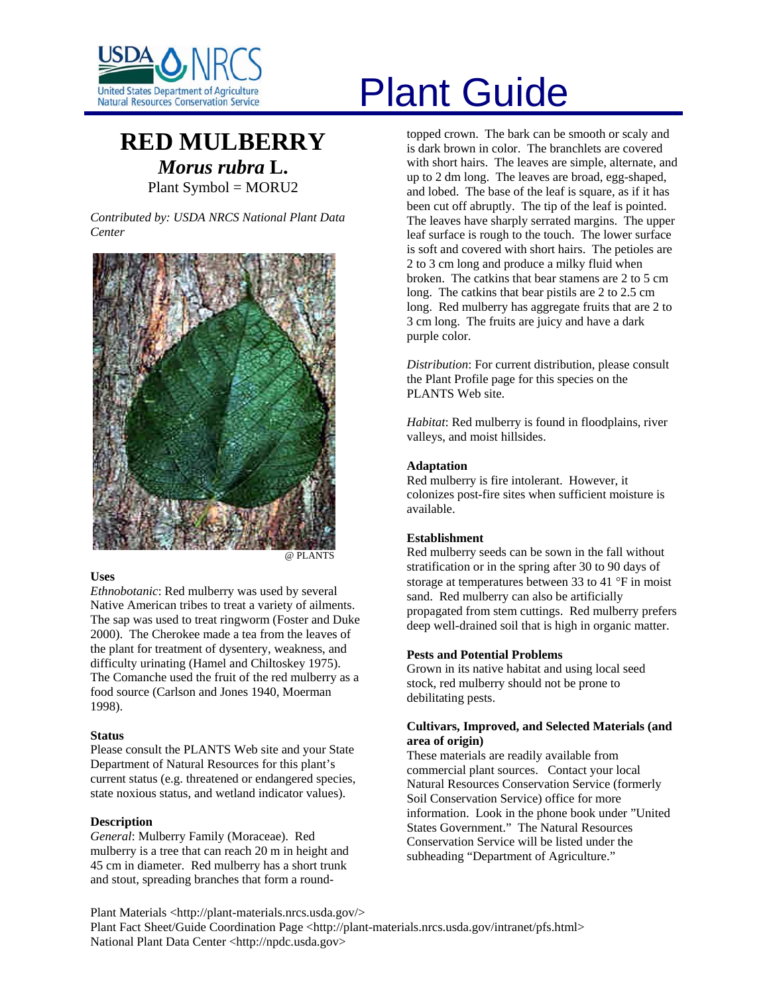

# **RED MULBERRY** *Morus rubra* **L.**

Plant Symbol = MORU2

*Contributed by: USDA NRCS National Plant Data Center* 



#### **Uses**

*Ethnobotanic*: Red mulberry was used by several Native American tribes to treat a variety of ailments. The sap was used to treat ringworm (Foster and Duke 2000). The Cherokee made a tea from the leaves of the plant for treatment of dysentery, weakness, and difficulty urinating (Hamel and Chiltoskey 1975). The Comanche used the fruit of the red mulberry as a food source (Carlson and Jones 1940, Moerman 1998).

# **Status**

Please consult the PLANTS Web site and your State Department of Natural Resources for this plant's current status (e.g. threatened or endangered species, state noxious status, and wetland indicator values).

# **Description**

*General*: Mulberry Family (Moraceae). Red mulberry is a tree that can reach 20 m in height and 45 cm in diameter. Red mulberry has a short trunk and stout, spreading branches that form a round-

# Plant Guide

topped crown. The bark can be smooth or scaly and is dark brown in color. The branchlets are covered with short hairs. The leaves are simple, alternate, and up to 2 dm long. The leaves are broad, egg-shaped, and lobed. The base of the leaf is square, as if it has been cut off abruptly. The tip of the leaf is pointed. The leaves have sharply serrated margins. The upper leaf surface is rough to the touch. The lower surface is soft and covered with short hairs. The petioles are 2 to 3 cm long and produce a milky fluid when broken. The catkins that bear stamens are 2 to 5 cm long. The catkins that bear pistils are 2 to 2.5 cm long. Red mulberry has aggregate fruits that are 2 to 3 cm long. The fruits are juicy and have a dark purple color.

*Distribution*: For current distribution, please consult the Plant Profile page for this species on the PLANTS Web site.

*Habitat*: Red mulberry is found in floodplains, river valleys, and moist hillsides.

# **Adaptation**

Red mulberry is fire intolerant. However, it colonizes post-fire sites when sufficient moisture is available.

# **Establishment**

Red mulberry seeds can be sown in the fall without stratification or in the spring after 30 to 90 days of storage at temperatures between 33 to 41 °F in moist sand. Red mulberry can also be artificially propagated from stem cuttings. Red mulberry prefers deep well-drained soil that is high in organic matter.

# **Pests and Potential Problems**

Grown in its native habitat and using local seed stock, red mulberry should not be prone to debilitating pests.

#### **Cultivars, Improved, and Selected Materials (and area of origin)**

These materials are readily available from commercial plant sources. Contact your local Natural Resources Conservation Service (formerly Soil Conservation Service) office for more information. Look in the phone book under "United States Government." The Natural Resources Conservation Service will be listed under the subheading "Department of Agriculture."

Plant Materials <http://plant-materials.nrcs.usda.gov/> Plant Fact Sheet/Guide Coordination Page <http://plant-materials.nrcs.usda.gov/intranet/pfs.html> National Plant Data Center <http://npdc.usda.gov>